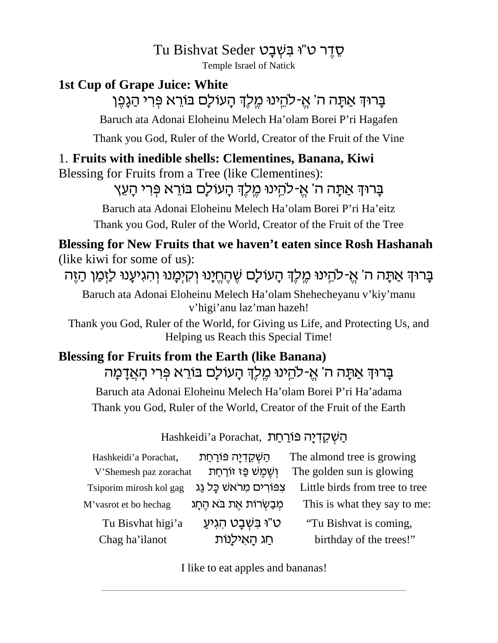Tu Bishvat Seder סֵדֵר ט"ו בִּשְׁבָט

Temple Israel of Natick

# **1st Cup of Grape Juice: White**

בַּרוּדְ אַתַּה ה' אֵ-להֵינוּ מֵלֶדְ הַעוֹלַם בּוֹרֵא פְּרִי הַגֲפֶן

Baruch ata Adonai Eloheinu Melech Ha'olam Borei P'ri Hagafen

Thank you God, Ruler of the World, Creator of the Fruit of the Vine

### 1. Fruits with inedible shells: Clementines, Banana, Kiwi

Blessing for Fruits from a Tree (like Clementines):

בָּרוּדְ אַתָּה ה' אֵ-להֵינוּ מֵלֵדְ הָעוֹלָם בּוֹרֵא פִּרִי הָעֵץ

Baruch ata Adonai Eloheinu Melech Ha'olam Borei P'ri Ha'eitz

Thank you God, Ruler of the World, Creator of the Fruit of the Tree

#### Blessing for New Fruits that we haven't eaten since Rosh Hashanah (like kiwi for some of us):

בָרוּדְ אַתָּה ה' אֱ-להֵינוּ מֵלֵךְ הָעוֹלַם שֵׁהֵחֵיָנוּ וְקִיִמֲנוּ וְהִגִיעֲנוּ לַזְמַן הַזֵּה

Baruch ata Adonai Eloheinu Melech Ha'olam Shehecheyanu v'kiy'manu v'higi'anu laz'man hazeh!

Thank you God, Ruler of the World, for Giving us Life, and Protecting Us, and Helping us Reach this Special Time!

## **Blessing for Fruits from the Earth (like Banana)** בָרוּךְ אַתָּה ה' אֵ-להֵינוּ מֵלֵךְ הָעוֹלָם בּוֹרֵא פִּרִי הָאֲדָמָה Baruch ata Adonai Eloheinu Melech Ha'olam Borei P'ri Ha'adama Thank you God, Ruler of the World, Creator of the Fruit of the Earth

#### הַשְׁקֵדְיַה פּוֹרַחַת, Hashkeidi'a Porachat,

| ְהַשְׁקֵדְיָה פּוֹרַחַת     | The almond tree is growing                           |
|-----------------------------|------------------------------------------------------|
| וְשֶׁמֵשׁ פֵּז זוֹרַחַת     | The golden sun is glowing                            |
| צִפּוֹרִים מִרֹאשׁ כַּל גַג | Little birds from tree to tree                       |
|                             | This is what they say to me:                         |
| ּט"וּ בִּשְׁבָט הְגִיעַ     | "Tu Bishvat is coming,                               |
| חַג הָאִילָנוֹת             | birthday of the trees!"                              |
|                             | V'Shemesh paz zorachat<br>מִבַשְׂרוֹת אֵת בֹּא הֵחָג |

I like to eat apples and bananas!